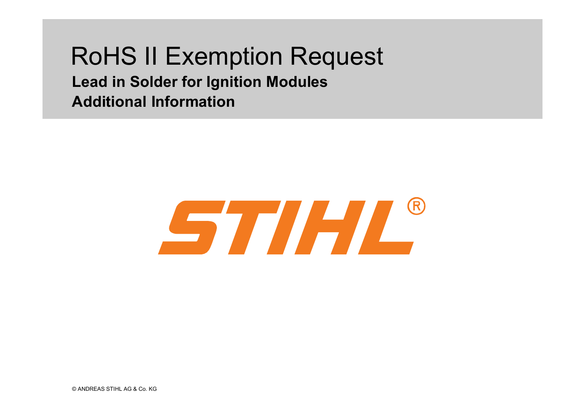# RoHS II Exemption Request **Lead in Solder for Ignition ModulesAdditional Information**

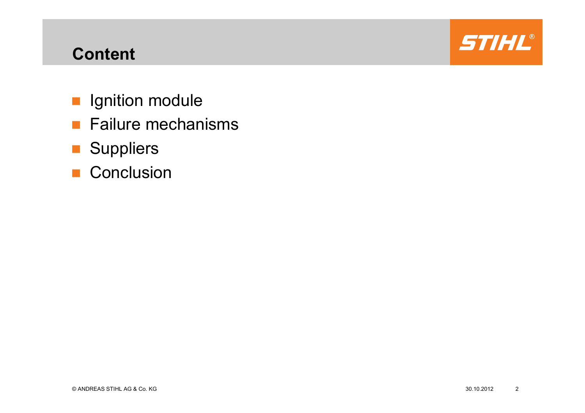## **Content**

- **I** Ignition module
- **Failure mechanisms**
- Suppliers
- Conclusion

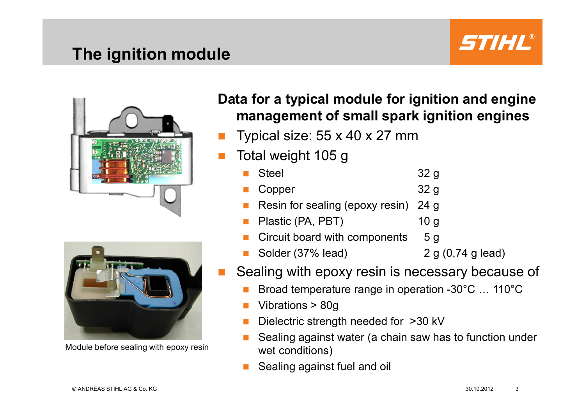## **The ignition module**







Module before sealing with epoxy resin

#### **Data for a typical module for ignition and engine management of small spark ignition engines**

- Typical size: 55 x 40 x 27 mm
- P. Total weight 105 g<br>Biteel
	- Steel 32 g
	- Copper 32 g<br>Resin for sealing (epoxy resin) 24 g
	- Resin for sealing (epoxy resin) 24 g<br>Plastic (PA, PBT) 10 g
	- Plastic (PA, PBT) 10 g<br>Circuit board with components 5 g
	- Circuit board with components
	- Solder (37% lead) 2 g (0,74 g lead)
- P. Sealing with epoxy resin is necessary because of
	- Broad temperature range in operation -30°C ... 110°C
	- Vibrations > 80g
	- Dielectric strength needed for >30 kV
	- Sealing against water (a chain saw has to function under M. wet conditions)
	- Sealing against fuel and oil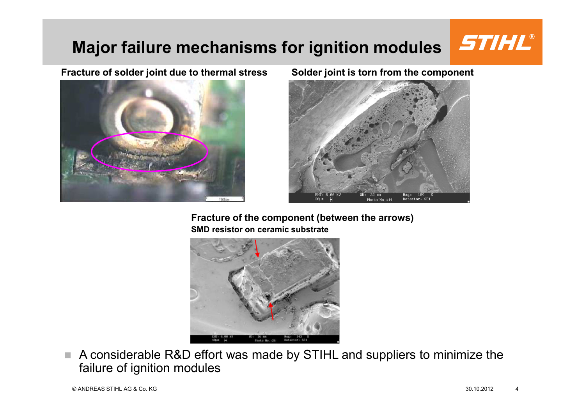## **Major failure mechanisms for ignition modules**

#### **Fracture of solder joint due to thermal stress Solder joint is torn from the component**





**Fracture of the component (between the arrows) SMD resistor on ceramic substrate**



 $\mathcal{L}_{\mathcal{A}}$  A considerable R&D effort was made by STIHL and suppliers to minimize the failure of ignition modules

STIHL®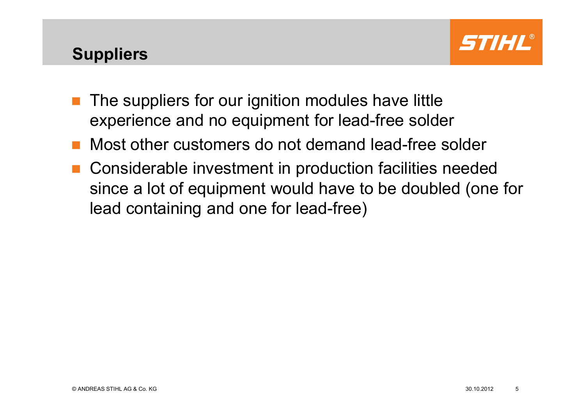## **Suppliers**



- $\mathcal{L}(\mathcal{A})$  The suppliers for our ignition modules have little experience and no equipment for lead-free solder
- Most other customers do not demand lead-free solder
- Considerable investment in production facilities needed since a lot of equipment would have to be doubled (one for lead containing and one for lead-free)